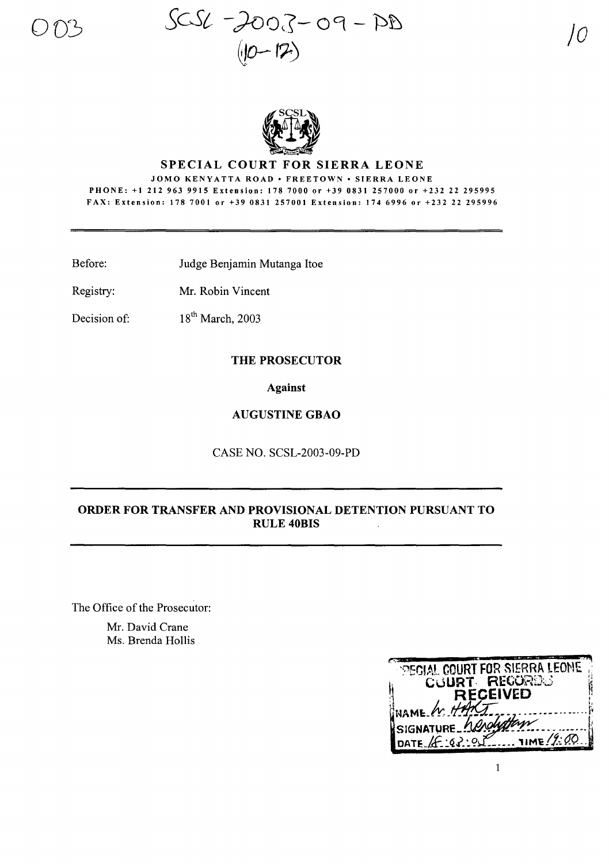



### **SPECIAL COURT FOR SIERRA LEONE**

JOMO KENYATTA ROAD • FREETOWN • SIERRA LEONE PHONE: +1 212 963 9915 Extension: 178 7000 or +39 0831 257000 or +232 22 295995 FAX: Extension: 178 7001 or +39 0831 257001 Extension: 174 6996 or +232 22 295996

Before: Judge Benjamin Mutanga Itoe

Registry: Mr. Robin Vincent

18<sup>th</sup> March, 2003 Decision of:

### THE PROSECUTOR

**Against** 

#### **AUGUSTINE GBAO**

CASE NO. SCSL-2003-09-PD

## ORDER FOR TRANSFER AND PROVISIONAL DETENTION PURSUANT TO **RULE 40BIS**

The Office of the Prosecutor:

Mr. David Crane Ms. Brenda Hollis

| <b>PEGIAL COURT FOR SIERRA LEONE</b>      |
|-------------------------------------------|
| COURT RECORDS                             |
| <b>RECEIVED</b>                           |
| INAME W HART                              |
| SIGNATURE herolyttom                      |
| $\ldots$ TIME $/9.00$<br>DATE $4 - 2 - 2$ |
|                                           |

 $\mathbf{1}$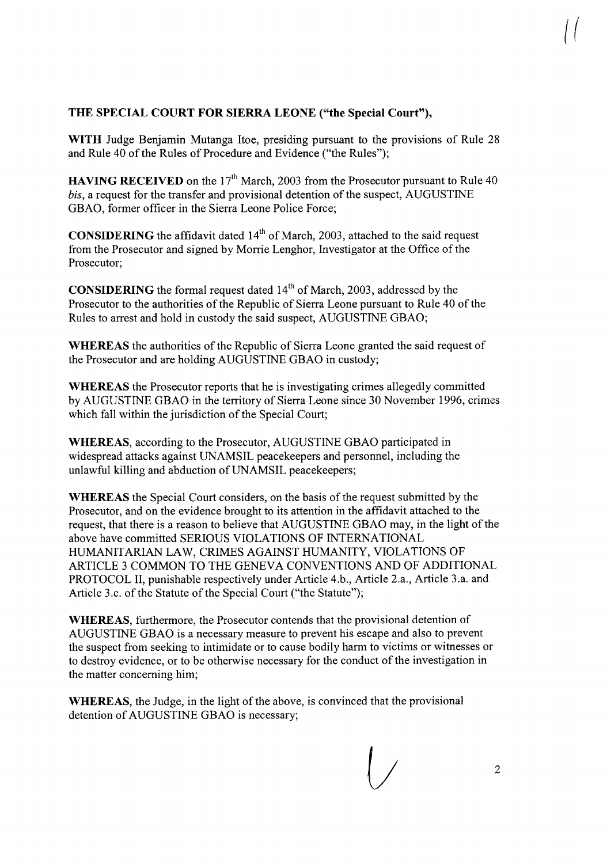# **THE SPECIAL COURT FOR SIERRA LEONE ("the Special Court"),**

**WITH** Judge Benjamin Mutanga Itoe, presiding pursuant to the provisions of Rule 28 and Rule 40 of the Rules of Procedure and Evidence ("the Rules");

**HAVING RECEIVED** on the 17<sup>th</sup> March, 2003 from the Prosecutor pursuant to Rule 40 *bis*, a request for the transfer and provisional detention of the suspect, AUGUSTINE GBAO, former officer in the Sierra Leone Police Force;

**CONSIDERING** the affidavit dated 14<sup>th</sup> of March, 2003, attached to the said request from the Prosecutor and signed by Morrie Lenghor, Investigator at the Office of the Prosecutor;

**CONSIDERING** the formal request dated 14<sup>th</sup> of March, 2003, addressed by the Prosecutor to the authorities of the Republic of Sierra Leone pursuant to Rule 40 of the Rules to arrest and hold in custody the said suspect, AUGUSTINE GBAO;

**WHEREAS** the authorities of the Republic of Sierra Leone granted the said request of the Prosecutor and are holding AUGUSTINE GBAO in custody;

**WHEREAS** the Prosecutor reports that he is investigating crimes allegedly committed by AUGUSTINE GBAO in the territory of Sierra Leone since 30 November 1996, crimes which fall within the jurisdiction of the Special Court;

**WHEREAS,** according to the Prosecutor, AUGUSTINE GBAO participated in widespread attacks against UNAMSIL peacekeepers and personnel, including the unlawful killing and abduction of UNAMSIL peacekeepers;

**WHEREAS** the Special Court considers, on the basis of the request submitted by the Prosecutor, and on the evidence brought to its attention in the affidavit attached to the request, that there is a reason to believe that AUGUSTINE GBAO may, in the light of the above have committed SERIOUS VIOLATIONS OF INTERNATIONAL HUMANITARIAN LAW, CRIMES AGAINST HUMANITY, VIOLATIONS OF ARTICLE 3 COMMON TO THE GENEVA CONVENTIONS AND OF ADDITIONAL PROTOCOL II, punishable respectively under Article 4.b., Article 2.a., Article 3.a. and Article 3.c. of the Statute of the Special Court ("the Statute");

**WHEREAS,** furthermore, the Prosecutor contends that the provisional detention of AUGUSTINE GBAO is a necessary measure to prevent his escape and also to prevent the suspect from seeking to intimidate or to cause bodily harm to victims or witnesses or to destroy evidence, or to be otherwise necessary for the conduct of the investigation in the matter concerning him;

**WHEREAS**, the Judge, in the light of the above, is convinced that the provisional detention of AUGUSTINE GBAO is necessary;

*(J* <sup>2</sup>

 $\int\int$